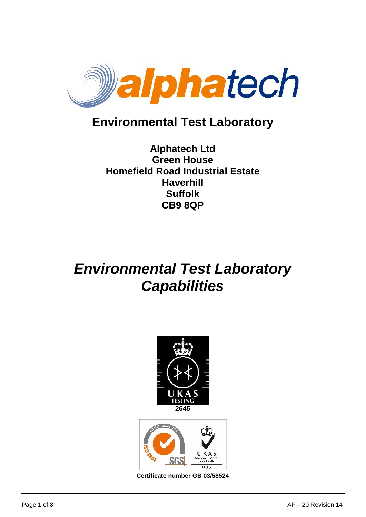

## **Environmental Test Laboratory**

## **Alphatech Ltd Green House Homefield Road Industrial Estate Haverhill Suffolk CB9 8QP**

# *Environmental Test Laboratory Capabilities*





**Certificate number GB 03/58524**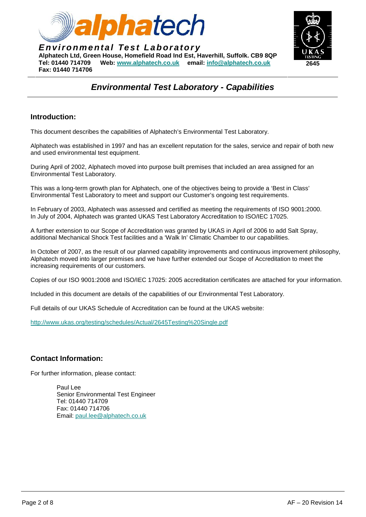



### *Environmental Test Laboratory - Capabilities*

#### **Introduction:**

This document describes the capabilities of Alphatech's Environmental Test Laboratory.

Alphatech was established in 1997 and has an excellent reputation for the sales, service and repair of both new and used environmental test equipment.

During April of 2002, Alphatech moved into purpose built premises that included an area assigned for an Environmental Test Laboratory.

This was a long-term growth plan for Alphatech, one of the objectives being to provide a 'Best in Class' Environmental Test Laboratory to meet and support our Customer's ongoing test requirements.

In February of 2003, Alphatech was assessed and certified as meeting the requirements of ISO 9001:2000. In July of 2004, Alphatech was granted UKAS Test Laboratory Accreditation to ISO/IEC 17025.

A further extension to our Scope of Accreditation was granted by UKAS in April of 2006 to add Salt Spray, additional Mechanical Shock Test facilities and a 'Walk In' Climatic Chamber to our capabilities.

In October of 2007, as the result of our planned capability improvements and continuous improvement philosophy, Alphatech moved into larger premises and we have further extended our Scope of Accreditation to meet the increasing requirements of our customers.

Copies of our ISO 9001:2008 and ISO/IEC 17025: 2005 accreditation certificates are attached for your information.

Included in this document are details of the capabilities of our Environmental Test Laboratory.

Full details of our UKAS Schedule of Accreditation can be found at the UKAS website:

http://www.ukas.org/testing/schedules/Actual/2645Testing%20Single.pdf

#### **Contact Information:**

For further information, please contact:

Paul Lee Senior Environmental Test Engineer Tel: 01440 714709 Fax: 01440 714706 Email: paul.lee@alphatech.co.uk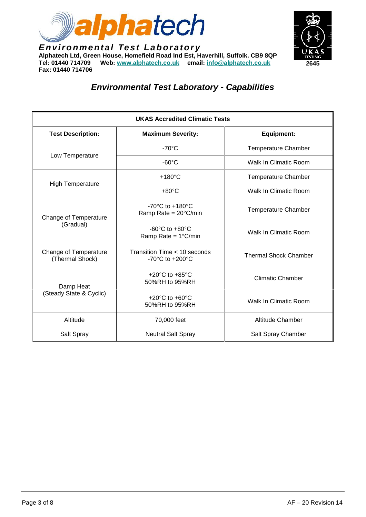



| <b>UKAS Accredited Climatic Tests</b>    |                                                                         |                              |  |  |
|------------------------------------------|-------------------------------------------------------------------------|------------------------------|--|--|
| <b>Test Description:</b>                 | <b>Maximum Severity:</b>                                                | <b>Equipment:</b>            |  |  |
| Low Temperature                          | $-70^{\circ}$ C                                                         | <b>Temperature Chamber</b>   |  |  |
|                                          | $-60^{\circ}$ C                                                         | Walk In Climatic Room        |  |  |
| <b>High Temperature</b>                  | $+180^{\circ}$ C                                                        | <b>Temperature Chamber</b>   |  |  |
|                                          | $+80^{\circ}$ C                                                         | Walk In Climatic Room        |  |  |
| Change of Temperature<br>(Gradual)       | -70 $^{\circ}$ C to +180 $^{\circ}$ C<br>Ramp Rate = $20^{\circ}$ C/min | <b>Temperature Chamber</b>   |  |  |
|                                          | $-60^{\circ}$ C to $+80^{\circ}$ C<br>Ramp Rate = $1^{\circ}$ C/min     | Walk In Climatic Room        |  |  |
| Change of Temperature<br>(Thermal Shock) | Transition Time < 10 seconds<br>-70 $^{\circ}$ C to +200 $^{\circ}$ C   | <b>Thermal Shock Chamber</b> |  |  |
| Damp Heat<br>(Steady State & Cyclic)     | +20 $^{\circ}$ C to +85 $^{\circ}$ C<br>50%RH to 95%RH                  | <b>Climatic Chamber</b>      |  |  |
|                                          | +20 $^{\circ}$ C to +60 $^{\circ}$ C<br>50%RH to 95%RH                  | Walk In Climatic Room        |  |  |
| Altitude                                 | 70,000 feet                                                             | <b>Altitude Chamber</b>      |  |  |
| Salt Spray                               | <b>Neutral Salt Spray</b>                                               | Salt Spray Chamber           |  |  |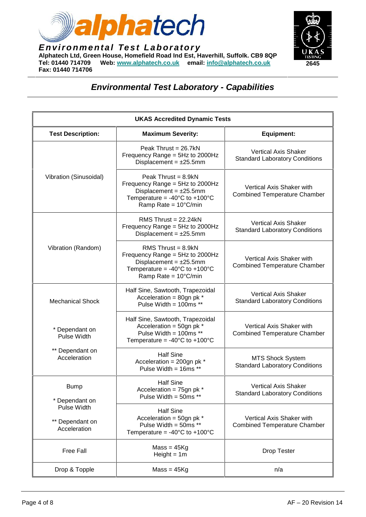



|                                                                                 | <b>UKAS Accredited Dynamic Tests</b>                                                                                                                                                |                                                                      |
|---------------------------------------------------------------------------------|-------------------------------------------------------------------------------------------------------------------------------------------------------------------------------------|----------------------------------------------------------------------|
| <b>Test Description:</b>                                                        | <b>Maximum Severity:</b>                                                                                                                                                            | <b>Equipment:</b>                                                    |
| Vibration (Sinusoidal)                                                          | Peak Thrust = $26.7kN$<br>Frequency Range = 5Hz to 2000Hz<br>Displacement = $\pm 25.5$ mm                                                                                           | <b>Vertical Axis Shaker</b><br><b>Standard Laboratory Conditions</b> |
|                                                                                 | Peak Thrust = $8.9kN$<br>Frequency Range = $5Hz$ to 2000Hz<br>Displacement = $\pm 25.5$ mm<br>Temperature = -40 $^{\circ}$ C to +100 $^{\circ}$ C<br>Ramp Rate = $10^{\circ}$ C/min | Vertical Axis Shaker with<br><b>Combined Temperature Chamber</b>     |
| Vibration (Random)                                                              | RMS Thrust = $22.24kN$<br>Frequency Range = $5Hz$ to 2000Hz<br>Displacement = $±25.5$ mm                                                                                            | <b>Vertical Axis Shaker</b><br><b>Standard Laboratory Conditions</b> |
|                                                                                 | RMS Thrust = $8.9kN$<br>Frequency Range = 5Hz to 2000Hz<br>Displacement = $±25.5$ mm<br>Temperature = -40 $^{\circ}$ C to +100 $^{\circ}$ C<br>Ramp Rate = $10^{\circ}$ C/min       | Vertical Axis Shaker with<br><b>Combined Temperature Chamber</b>     |
| <b>Mechanical Shock</b>                                                         | Half Sine, Sawtooth, Trapezoidal<br>Acceleration = 80gn pk *<br>Pulse Width = $100ms$ **                                                                                            | <b>Vertical Axis Shaker</b><br><b>Standard Laboratory Conditions</b> |
| * Dependant on<br><b>Pulse Width</b>                                            | Half Sine, Sawtooth, Trapezoidal<br>Acceleration = 50gn pk *<br>Pulse Width = 100ms **<br>Temperature = $-40^{\circ}$ C to $+100^{\circ}$ C                                         | Vertical Axis Shaker with<br><b>Combined Temperature Chamber</b>     |
| ** Dependant on<br>Acceleration                                                 | <b>Half Sine</b><br>Acceleration = $200$ gn pk *<br>Pulse Width = 16ms **                                                                                                           | <b>MTS Shock System</b><br><b>Standard Laboratory Conditions</b>     |
| <b>Bump</b><br>* Dependant on<br>Pulse Width<br>** Dependant on<br>Acceleration | <b>Half Sine</b><br>Acceleration = $75$ gn pk $*$<br>Pulse Width = $50ms**$                                                                                                         | <b>Vertical Axis Shaker</b><br><b>Standard Laboratory Conditions</b> |
|                                                                                 | <b>Half Sine</b><br>Acceleration = $50$ gn pk $*$<br>Pulse Width = $50ms**$<br>Temperature = $-40^{\circ}$ C to $+100^{\circ}$ C                                                    | Vertical Axis Shaker with<br><b>Combined Temperature Chamber</b>     |
| Free Fall                                                                       | $Mass = 45Kg$<br>Height = $1m$                                                                                                                                                      | <b>Drop Tester</b>                                                   |
| Drop & Topple                                                                   | $Mass = 45Kg$                                                                                                                                                                       | n/a                                                                  |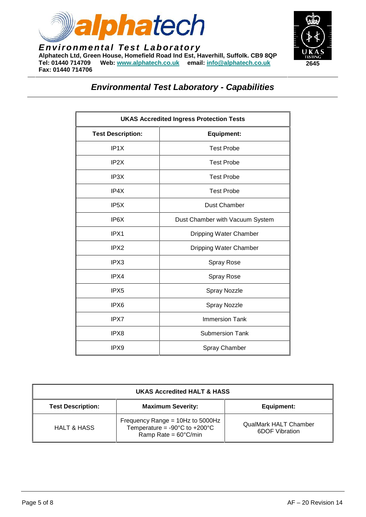



| <b>UKAS Accredited Ingress Protection Tests</b> |                                 |  |
|-------------------------------------------------|---------------------------------|--|
| <b>Test Description:</b>                        | <b>Equipment:</b>               |  |
| IP <sub>1</sub> X                               | <b>Test Probe</b>               |  |
| IP <sub>2</sub> X                               | <b>Test Probe</b>               |  |
| IP <sub>3</sub> X                               | <b>Test Probe</b>               |  |
| IP4X                                            | <b>Test Probe</b>               |  |
| IP <sub>5</sub> X                               | Dust Chamber                    |  |
| IP <sub>6</sub> X                               | Dust Chamber with Vacuum System |  |
| IPX1                                            | Dripping Water Chamber          |  |
| IPX2                                            | Dripping Water Chamber          |  |
| IPX3                                            | Spray Rose                      |  |
| IPX4                                            | Spray Rose                      |  |
| IPX <sub>5</sub>                                | Spray Nozzle                    |  |
| IPX <sub>6</sub>                                | Spray Nozzle                    |  |
| IPX7                                            | <b>Immersion Tank</b>           |  |
| IPX8                                            | <b>Submersion Tank</b>          |  |
| IPX9                                            | Spray Chamber                   |  |

| <b>UKAS Accredited HALT &amp; HASS</b> |                                                                                                                         |                                                |  |  |
|----------------------------------------|-------------------------------------------------------------------------------------------------------------------------|------------------------------------------------|--|--|
| <b>Test Description:</b>               | <b>Maximum Severity:</b>                                                                                                | Equipment:                                     |  |  |
| <b>HALT &amp; HASS</b>                 | Frequency Range = 10Hz to 5000Hz<br>Temperature = $-90^{\circ}$ C to $+200^{\circ}$ C<br>Ramp Rate = $60^{\circ}$ C/min | <b>QualMark HALT Chamber</b><br>6DOF Vibration |  |  |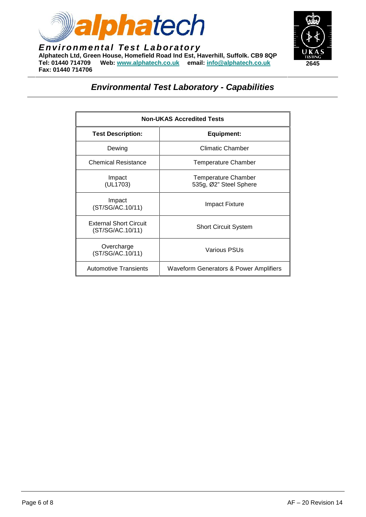



| <b>Non-UKAS Accredited Tests</b>                  |                                                      |  |
|---------------------------------------------------|------------------------------------------------------|--|
| <b>Test Description:</b>                          | <b>Equipment:</b>                                    |  |
| Dewing                                            | <b>Climatic Chamber</b>                              |  |
| <b>Chemical Resistance</b>                        | Temperature Chamber                                  |  |
| Impact<br>(UL1703)                                | <b>Temperature Chamber</b><br>535g, Ø2" Steel Sphere |  |
| Impact<br>(ST/SG/AC.10/11)                        | Impact Fixture                                       |  |
| <b>External Short Circuit</b><br>(ST/SG/AC.10/11) | <b>Short Circuit System</b>                          |  |
| Overcharge<br>(ST/SG/AC.10/11)                    | Various PSUs                                         |  |
| <b>Automotive Transients</b>                      | <b>Waveform Generators &amp; Power Amplifiers</b>    |  |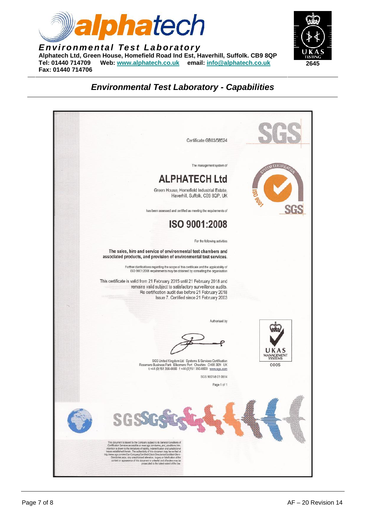